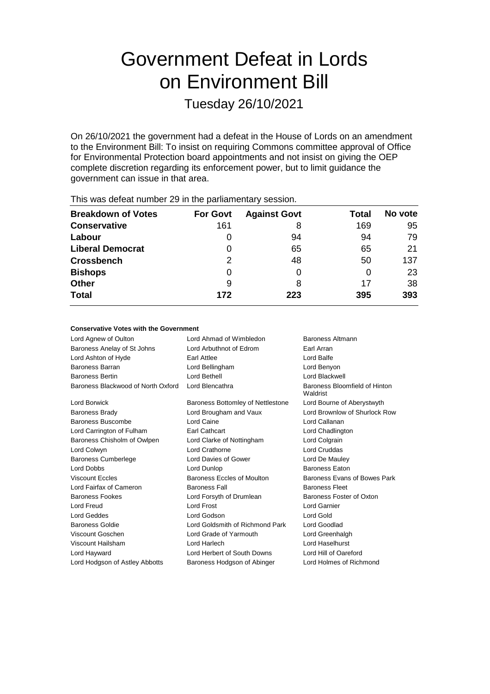# Government Defeat in Lords on Environment Bill

Tuesday 26/10/2021

On 26/10/2021 the government had a defeat in the House of Lords on an amendment to the Environment Bill: To insist on requiring Commons committee approval of Office for Environmental Protection board appointments and not insist on giving the OEP complete discretion regarding its enforcement power, but to limit guidance the government can issue in that area.

| <b>Breakdown of Votes</b> | <b>For Govt</b> | <b>Against Govt</b> | <b>Total</b> | No vote |  |
|---------------------------|-----------------|---------------------|--------------|---------|--|
| <b>Conservative</b>       | 161             | 8                   | 169          | 95      |  |
| Labour                    |                 | 94                  | 94           | 79      |  |
| <b>Liberal Democrat</b>   | 0               | 65                  | 65           | 21      |  |
| <b>Crossbench</b>         | 2               | 48                  | 50           | 137     |  |
| <b>Bishops</b>            | 0               |                     | O            | 23      |  |
| <b>Other</b>              | 9               | 8                   | 17           | 38      |  |
| <b>Total</b>              | 172             | 223                 | 395          | 393     |  |
|                           |                 |                     |              |         |  |

This was defeat number 29 in the parliamentary session.

#### **Conservative Votes with the Government**

| Lord Agnew of Oulton               | Lord Ahmad of Wimbledon           | Baroness Altmann                          |
|------------------------------------|-----------------------------------|-------------------------------------------|
| Baroness Anelay of St Johns        | Lord Arbuthnot of Edrom           | Earl Arran                                |
| Lord Ashton of Hyde                | Earl Attlee                       | Lord Balfe                                |
| <b>Baroness Barran</b>             | Lord Bellingham                   | Lord Benyon                               |
| <b>Baroness Bertin</b>             | Lord Bethell                      | Lord Blackwell                            |
| Baroness Blackwood of North Oxford | Lord Blencathra                   | Baroness Bloomfield of Hinton<br>Waldrist |
| Lord Borwick                       | Baroness Bottomley of Nettlestone | Lord Bourne of Aberystwyth                |
| <b>Baroness Brady</b>              | Lord Brougham and Vaux            | Lord Brownlow of Shurlock Row             |
| Baroness Buscombe                  | Lord Caine                        | Lord Callanan                             |
| Lord Carrington of Fulham          | <b>Earl Cathcart</b>              | Lord Chadlington                          |
| Baroness Chisholm of Owlpen        | Lord Clarke of Nottingham         | Lord Colgrain                             |
| Lord Colwyn                        | Lord Crathorne                    | Lord Cruddas                              |
| <b>Baroness Cumberlege</b>         | Lord Davies of Gower              | Lord De Mauley                            |
| <b>Lord Dobbs</b>                  | Lord Dunlop                       | <b>Baroness Eaton</b>                     |
| <b>Viscount Eccles</b>             | Baroness Eccles of Moulton        | Baroness Evans of Bowes Park              |
| Lord Fairfax of Cameron            | <b>Baroness Fall</b>              | <b>Baroness Fleet</b>                     |
| <b>Baroness Fookes</b>             | Lord Forsyth of Drumlean          | Baroness Foster of Oxton                  |
| Lord Freud                         | Lord Frost                        | Lord Garnier                              |
| Lord Geddes                        | Lord Godson                       | Lord Gold                                 |
| Baroness Goldie                    | Lord Goldsmith of Richmond Park   | Lord Goodlad                              |
| Viscount Goschen                   | Lord Grade of Yarmouth            | Lord Greenhalgh                           |
| Viscount Hailsham                  | Lord Harlech                      | Lord Haselhurst                           |
| Lord Hayward                       | Lord Herbert of South Downs       | Lord Hill of Oareford                     |
| Lord Hodgson of Astley Abbotts     | Baroness Hodgson of Abinger       | Lord Holmes of Richmond                   |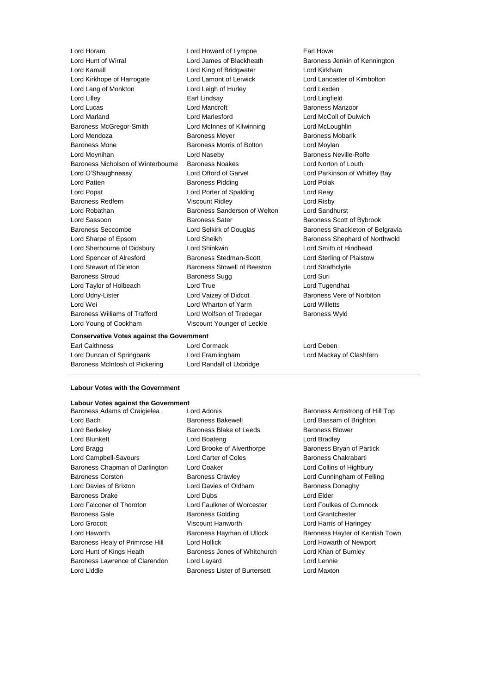Lord Horam Lord Howard of Lympne Earl Howe Lord Hunt of Wirral Lord James of Blackheath Baroness Jenkin of Kennington Lord Kamall Lord King of Bridgwater Lord Kirkham Lord Kirkhope of Harrogate Lord Lamont of Lerwick Lord Lancaster of Kimbolton Lord Lang of Monkton **Lord Leigh of Hurley** Lord Lexden Lord Lilley Earl Lindsay Lord Lingfield Lord Lucas Lord Mancroft Baroness Manzoor Lord Marland Lord Marlesford Lord McColl of Dulwich Baroness McGregor-Smith Lord McInnes of Kilwinning Lord McLoughlin Lord Mendoza **Baroness Meyer** Baroness Meyer Baroness Mobarik Baroness Mone **Baroness Morris of Bolton Lord Moylan** Lord Moynihan **Lord Naseby Baroness Neville-Rolfe** Lord Naseby Baroness Nicholson of Winterbourne Baroness Noakes Lord Norton of Louth Lord O'Shaughnessy Lord Offord of Garvel Lord Parkinson of Whitley Bay Lord Patten **Baroness Pidding** Lord Polak Lord Popat Lord Porter of Spalding Lord Reay Baroness Redfern Viscount Ridley Correct Lord Risby Lord Robathan Baroness Sanderson of Welton Lord Sandhurst Lord Sassoon **Baroness Sater** Baroness Scott of Bybrook Baroness Seccombe **Lord Selkirk of Douglas** Baroness Shackleton of Belgravia Lord Sharpe of Epsom Cord Sheikh Baroness Shephard of Northwold Lord Sherbourne of Didsbury Lord Shinkwin Lord Smith of Hindhead Lord Spencer of Alresford Baroness Stedman-Scott Lord Sterling of Plaistow Lord Stewart of Dirleton Baroness Stowell of Beeston Lord Strathclyde Baroness Stroud **Baroness Sugg Community** Baroness Sugg **Lord Suri** Lord Taylor of Holbeach Lord True Lord Tugendhat Lord Udny-Lister Lord Vaizey of Didcot Baroness Vere of Norbiton Lord Wei Lord Wharton of Yarm Lord Willetts Baroness Williams of Trafford Lord Wolfson of Tredegar Baroness Wyld Lord Young of Cookham Viscount Younger of Leckie

**Conservative Votes against the Government**

Lord Duncan of Springbank Lord Framlingham Lord Mackay of Clashfern Baroness McIntosh of Pickering Lord Randall of Uxbridge

Earl Caithness Lord Cormack Lord Deben

#### **Labour Votes with the Government**

## **Labour Votes against the Government**<br>Baroness Adams of Craigielea Lord Adonis

- Lord Bach Baroness Bakewell Lord Bassam of Brighton Lord Berkeley **Baroness Blake of Leeds** Baroness Blower Lord Blunkett **Lord Boateng** Lord Bradley **Lord Bradley** Lord Bragg **Lord Brooke of Alverthorpe** Baroness Bryan of Partick Lord Campbell-Savours **Lord Carter of Coles** Baroness Chakrabarti Baroness Chapman of Darlington Lord Coaker Lord Coallins of Highbury Baroness Corston Baroness Crawley Lord Cunningham of Felling Lord Davies of Brixton Lord Davies of Oldham Baroness Donaghy Baroness Drake Lord Dubs Lord Elder Lord Falconer of Thoroton Lord Faulkner of Worcester Lord Foulkes of Cumnock Baroness Gale Baroness Golding Lord Grantchester Lord Grocott Viscount Hanworth Lord Harris of Haringey Lord Haworth **Baroness Hayman of Ullock** Baroness Hayter of Kentish Town Baroness Healy of Primrose Hill Lord Hollick Lord Howarth of Newport Lord Hunt of Kings Heath Baroness Jones of Whitchurch Lord Khan of Burnley Baroness Lawrence of Clarendon Lord Layard Lord Lennie Lord Liddle Baroness Lister of Burtersett Lord Maxton
- 

Baroness Adams of Craigielea Lord Adonis **Baroness Armstrong of Hill Top**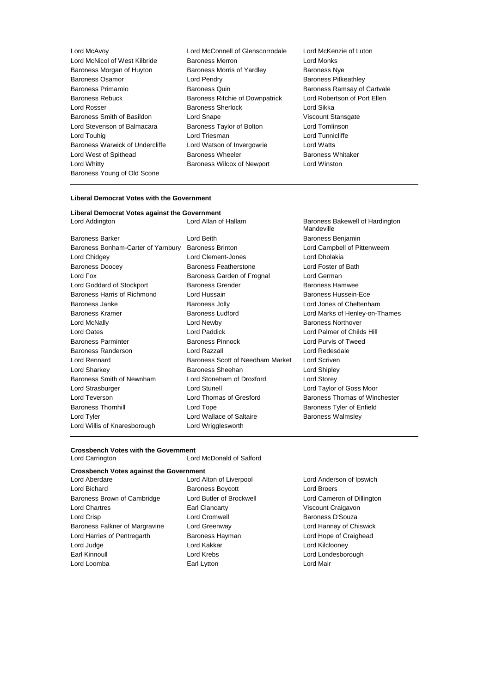Lord McAvoy Lord McConnell of Glenscorrodale Lord McKenzie of Luton Lord McNicol of West Kilbride Baroness Merron Lord Monks<br>
Baroness Morgan of Huvton Baroness Morris of Yardley Baroness Nve Baroness Morgan of Huyton Baroness Osamor **Example 2** Lord Pendry **Constructs** Baroness Pitkeathley Baroness Primarolo **Baroness Quin** Baroness Quin Baroness Ramsay of Cartvale Baroness Rebuck Baroness Ritchie of Downpatrick Lord Robertson of Port Ellen Lord Rosser **Baroness Sherlock** Lord Sikka Baroness Smith of Basildon **Lord Snape Lord Snape** Viscount Stansgate Lord Stevenson of Balmacara Baroness Taylor of Bolton Lord Tomlinson Lord Touhig **Lord Triesman** Lord Triesman **Lord Tunnicliffe** Baroness Warwick of Undercliffe Lord Watson of Invergowrie Lord Watts Lord West of Spithead **Baroness Wheeler** Baroness Whitaker Lord Whitty Baroness Wilcox of Newport Lord Winston Baroness Young of Old Scone

- 
- 

#### **Liberal Democrat Votes with the Government**

**Liberal Democrat Votes against the Government**

| Lord Addington                     | Lord Allan of Hallam             | Baroness Bakewell of Hardington<br>Mandeville |
|------------------------------------|----------------------------------|-----------------------------------------------|
| <b>Baroness Barker</b>             | Lord Beith                       | Baroness Benjamin                             |
| Baroness Bonham-Carter of Yarnbury | <b>Baroness Brinton</b>          | Lord Campbell of Pittenweem                   |
| Lord Chidgey                       | Lord Clement-Jones               | Lord Dholakia                                 |
| <b>Baroness Doocey</b>             | Baroness Featherstone            | Lord Foster of Bath                           |
| Lord Fox                           | Baroness Garden of Frognal       | Lord German                                   |
| Lord Goddard of Stockport          | <b>Baroness Grender</b>          | Baroness Hamwee                               |
| Baroness Harris of Richmond        | Lord Hussain                     | Baroness Hussein-Ece                          |
| Baroness Janke                     | <b>Baroness Jolly</b>            | Lord Jones of Cheltenham                      |
| Baroness Kramer                    | <b>Baroness Ludford</b>          | Lord Marks of Henley-on-Thames                |
| Lord McNally                       | Lord Newby                       | <b>Baroness Northover</b>                     |
| <b>Lord Oates</b>                  | Lord Paddick                     | Lord Palmer of Childs Hill                    |
| <b>Baroness Parminter</b>          | <b>Baroness Pinnock</b>          | Lord Purvis of Tweed                          |
| Baroness Randerson                 | Lord Razzall                     | Lord Redesdale                                |
| Lord Rennard                       | Baroness Scott of Needham Market | Lord Scriven                                  |
| Lord Sharkey                       | Baroness Sheehan                 | Lord Shipley                                  |
| Baroness Smith of Newnham          | Lord Stoneham of Droxford        | <b>Lord Storey</b>                            |
| Lord Strasburger                   | <b>Lord Stunell</b>              | Lord Taylor of Goss Moor                      |
| Lord Teverson                      | Lord Thomas of Gresford          | Baroness Thomas of Winchester                 |
| <b>Baroness Thornhill</b>          | Lord Tope                        | Baroness Tyler of Enfield                     |
| Lord Tyler                         | Lord Wallace of Saltaire         | <b>Baroness Walmsley</b>                      |
| Lord Willis of Knaresborough       | Lord Wrigglesworth               |                                               |
|                                    |                                  |                                               |

#### **Crossbench Votes with the Government**

Lord Carrington Lord McDonald of Salford

### **Crossbench Votes against the Government**

Lord Bichard **Baroness Boycott Baroness Boycott Lord Broers** Baroness Brown of Cambridge Lord Butler of Brockwell Lord Cameron of Dillington Lord Chartres Earl Clancarty Viscount Craigavon Lord Crisp **Lord Cromwell** Community Lord Cromwell Baroness Falkner of Margravine Lord Greenway **Lord Hannay of Chiswick** Lord Harries of Pentregarth **Baroness Hayman** Baroness Hayman Lord Hope of Craighead Lord Judge Lord Kakkar Lord Kilclooney Earl Kinnoull Lord Krebs Lord Londesborough Lord Loomba **Earl Lytton** Earl Lytton **Earl Lytton** Lord Mair

Lord Aberdare Lord Alton of Liverpool Lord Anderson of Ipswich